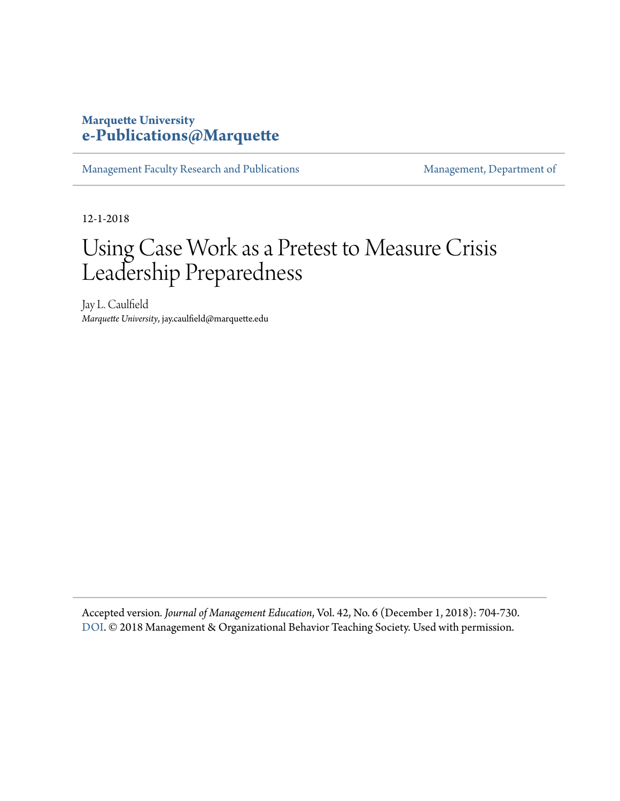## **Marquette University [e-Publications@Marquette](https://epublications.marquette.edu)**

[Management Faculty Research and Publications](https://epublications.marquette.edu/mgmt_fac) [Management, Department of](https://epublications.marquette.edu/mgmt)

12-1-2018

## Using Case Work as a Pretest to Measure Crisis Leadership Preparedness

Jay L. Caulfield *Marquette University*, jay.caulfield@marquette.edu

Accepted version*. Journal of Management Education*, Vol. 42, No. 6 (December 1, 2018): 704-730. [DOI](http://dx.doi.org/10.1177/1052562918796052). © 2018 Management & Organizational Behavior Teaching Society. Used with permission.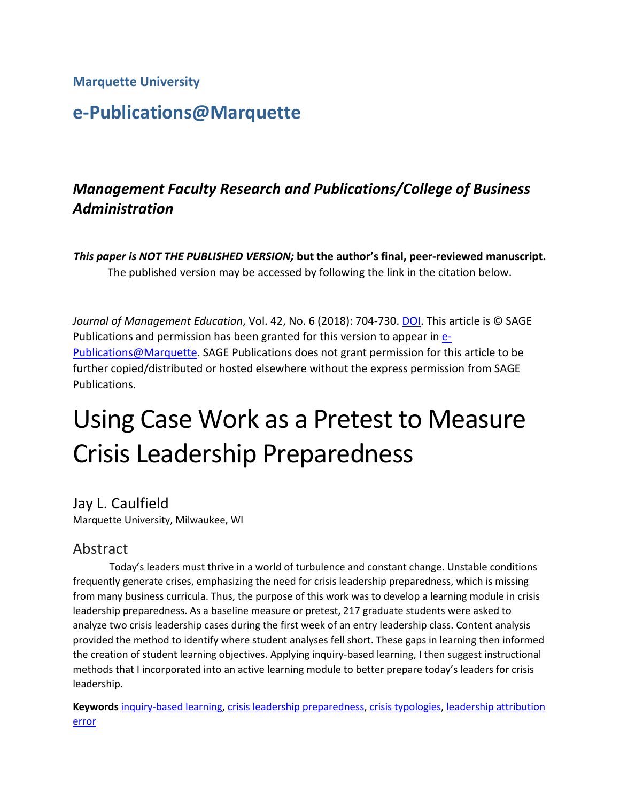**Marquette University**

## **e-Publications@Marquette**

## *Management Faculty Research and Publications/College of Business Administration*

*This paper is NOT THE PUBLISHED VERSION;* **but the author's final, peer-reviewed manuscript.**  The published version may be accessed by following the link in the citation below.

*Journal of Management Education*, Vol. 42, No. 6 (2018): 704-730. [DOI.](https://www.doi.org/10.1177/1052562918796052) This article is © SAGE Publications and permission has been granted for this version to appear in **e**-[Publications@Marquette.](http://epublications.marquette.edu/) SAGE Publications does not grant permission for this article to be further copied/distributed or hosted elsewhere without the express permission from SAGE Publications.

# Using Case Work as a Pretest to Measure Crisis Leadership Preparedness

Jay L. Caulfield Marquette University, Milwaukee, WI

## Abstract

Today's leaders must thrive in a world of turbulence and constant change. Unstable conditions frequently generate crises, emphasizing the need for crisis leadership preparedness, which is missing from many business curricula. Thus, the purpose of this work was to develop a learning module in crisis leadership preparedness. As a baseline measure or pretest, 217 graduate students were asked to analyze two crisis leadership cases during the first week of an entry leadership class. Content analysis provided the method to identify where student analyses fell short. These gaps in learning then informed the creation of student learning objectives. Applying inquiry-based learning, I then suggest instructional methods that I incorporated into an active learning module to better prepare today's leaders for crisis leadership.

**Keywords** [inquiry-based learning,](https://journals.sagepub.com/keyword/Inquiry-based+Learning) [crisis leadership preparedness,](https://journals.sagepub.com/keyword/Crisis+Leadership+Preparedness) [crisis typologies,](https://journals.sagepub.com/keyword/Crisis+Typologies) [leadership attribution](https://journals.sagepub.com/keyword/Leadership+Attribution+Error)  [error](https://journals.sagepub.com/keyword/Leadership+Attribution+Error)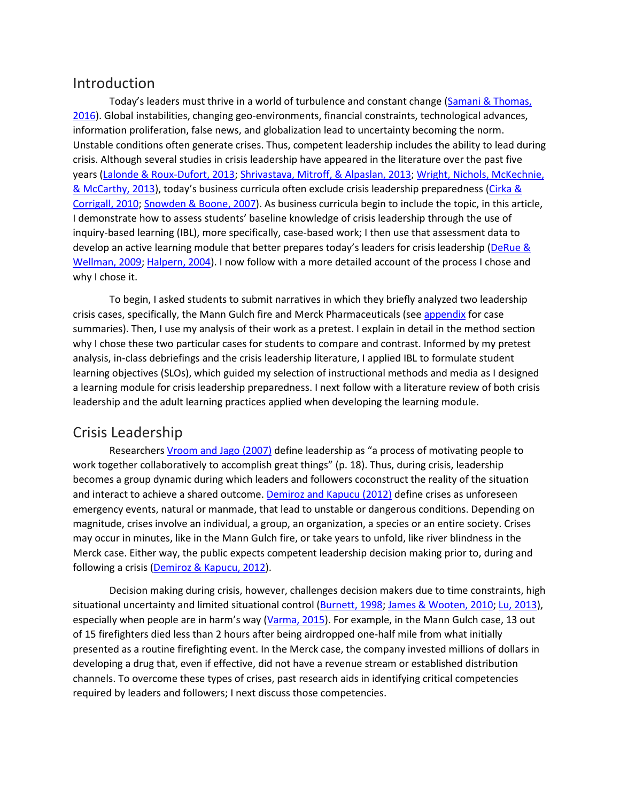#### Introduction

Today's leaders must thrive in a world of turbulence and constant change [\(Samani & Thomas,](https://journals.sagepub.com/doi/10.1177/1052562918796052)  [2016\)](https://journals.sagepub.com/doi/10.1177/1052562918796052). Global instabilities, changing geo-environments, financial constraints, technological advances, information proliferation, false news, and globalization lead to uncertainty becoming the norm. Unstable conditions often generate crises. Thus, competent leadership includes the ability to lead during crisis. Although several studies in crisis leadership have appeared in the literature over the past five years [\(Lalonde & Roux-Dufort, 2013;](https://journals.sagepub.com/doi/10.1177/1052562918796052) [Shrivastava, Mitroff, & Alpaslan, 2013;](https://journals.sagepub.com/doi/10.1177/1052562918796052) [Wright, Nichols, McKechnie,](https://journals.sagepub.com/doi/10.1177/1052562918796052)  [& McCarthy, 2013\)](https://journals.sagepub.com/doi/10.1177/1052562918796052), today's business curricula often exclude crisis leadership preparedness [\(Cirka &](https://journals.sagepub.com/doi/10.1177/1052562918796052)  [Corrigall, 2010;](https://journals.sagepub.com/doi/10.1177/1052562918796052) [Snowden & Boone, 2007\)](https://journals.sagepub.com/doi/10.1177/1052562918796052). As business curricula begin to include the topic, in this article, I demonstrate how to assess students' baseline knowledge of crisis leadership through the use of inquiry-based learning (IBL), more specifically, case-based work; I then use that assessment data to develop an active learning module that better prepares today's leaders for crisis leadership [\(DeRue &](https://journals.sagepub.com/doi/10.1177/1052562918796052)  [Wellman, 2009;](https://journals.sagepub.com/doi/10.1177/1052562918796052) [Halpern, 2004\)](https://journals.sagepub.com/doi/10.1177/1052562918796052). I now follow with a more detailed account of the process I chose and why I chose it.

To begin, I asked students to submit narratives in which they briefly analyzed two leadership crisis cases, specifically, the Mann Gulch fire and Merck Pharmaceuticals (see [appendix](javascript:popRef() for case summaries). Then, I use my analysis of their work as a pretest. I explain in detail in the method section why I chose these two particular cases for students to compare and contrast. Informed by my pretest analysis, in-class debriefings and the crisis leadership literature, I applied IBL to formulate student learning objectives (SLOs), which guided my selection of instructional methods and media as I designed a learning module for crisis leadership preparedness. I next follow with a literature review of both crisis leadership and the adult learning practices applied when developing the learning module.

## Crisis Leadership

Researchers [Vroom and Jago \(2007\)](https://journals.sagepub.com/doi/10.1177/1052562918796052) define leadership as "a process of motivating people to work together collaboratively to accomplish great things" (p. 18). Thus, during crisis, leadership becomes a group dynamic during which leaders and followers coconstruct the reality of the situation and interact to achieve a shared outcome. [Demiroz and Kapucu \(2012\)](https://journals.sagepub.com/doi/10.1177/1052562918796052) define crises as unforeseen emergency events, natural or manmade, that lead to unstable or dangerous conditions. Depending on magnitude, crises involve an individual, a group, an organization, a species or an entire society. Crises may occur in minutes, like in the Mann Gulch fire, or take years to unfold, like river blindness in the Merck case. Either way, the public expects competent leadership decision making prior to, during and following a crisis [\(Demiroz & Kapucu, 2012\)](https://journals.sagepub.com/doi/10.1177/1052562918796052).

Decision making during crisis, however, challenges decision makers due to time constraints, high situational uncertainty and limited situational control [\(Burnett, 1998;](https://journals.sagepub.com/doi/10.1177/1052562918796052) [James & Wooten, 2010;](https://journals.sagepub.com/doi/10.1177/1052562918796052) [Lu, 2013\)](https://journals.sagepub.com/doi/10.1177/1052562918796052), especially when people are in harm's way [\(Varma, 2015\)](https://journals.sagepub.com/doi/10.1177/1052562918796052). For example, in the Mann Gulch case, 13 out of 15 firefighters died less than 2 hours after being airdropped one-half mile from what initially presented as a routine firefighting event. In the Merck case, the company invested millions of dollars in developing a drug that, even if effective, did not have a revenue stream or established distribution channels. To overcome these types of crises, past research aids in identifying critical competencies required by leaders and followers; I next discuss those competencies.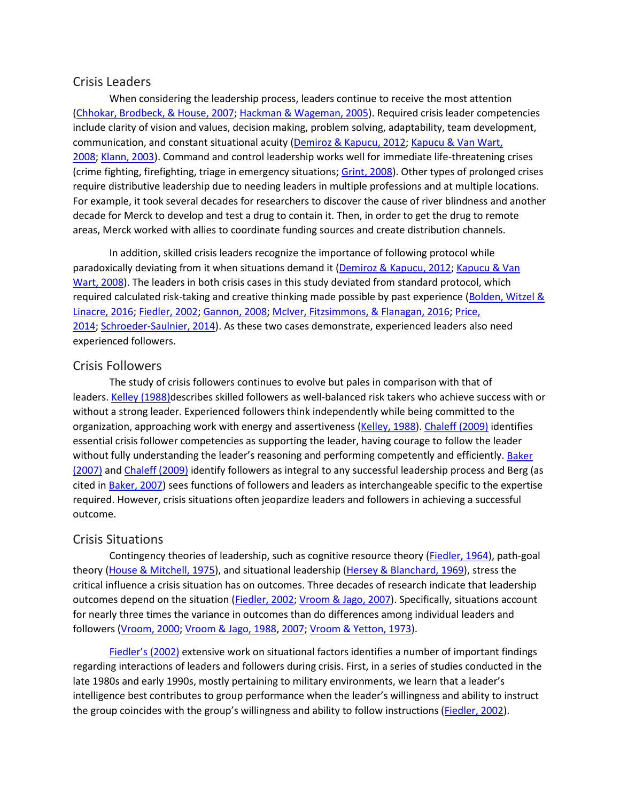#### Crisis Leaders

When considering the leadership process, leaders continue to receive the most attention [\(Chhokar, Brodbeck, & House, 2007;](https://journals.sagepub.com/doi/10.1177/1052562918796052) [Hackman & Wageman, 2005\)](https://journals.sagepub.com/doi/10.1177/1052562918796052). Required crisis leader competencies include clarity of vision and values, decision making, problem solving, adaptability, team development, communication, and constant situational acuity [\(Demiroz & Kapucu, 2012;](https://journals.sagepub.com/doi/10.1177/1052562918796052) [Kapucu & Van Wart,](https://journals.sagepub.com/doi/10.1177/1052562918796052)  [2008;](https://journals.sagepub.com/doi/10.1177/1052562918796052) [Klann, 2003\)](https://journals.sagepub.com/doi/10.1177/1052562918796052). Command and control leadership works well for immediate life-threatening crises (crime fighting, firefighting, triage in emergency situations; [Grint, 2008\)](https://journals.sagepub.com/doi/10.1177/1052562918796052). Other types of prolonged crises require distributive leadership due to needing leaders in multiple professions and at multiple locations. For example, it took several decades for researchers to discover the cause of river blindness and another decade for Merck to develop and test a drug to contain it. Then, in order to get the drug to remote areas, Merck worked with allies to coordinate funding sources and create distribution channels.

In addition, skilled crisis leaders recognize the importance of following protocol while paradoxically deviating from it when situations demand it [\(Demiroz & Kapucu, 2012;](https://journals.sagepub.com/doi/10.1177/1052562918796052) [Kapucu & Van](https://journals.sagepub.com/doi/10.1177/1052562918796052)  [Wart, 2008\)](https://journals.sagepub.com/doi/10.1177/1052562918796052). The leaders in both crisis cases in this study deviated from standard protocol, which required calculated risk-taking and creative thinking made possible by past experience [\(Bolden, Witzel &](https://journals.sagepub.com/doi/10.1177/1052562918796052)  [Linacre, 2016;](https://journals.sagepub.com/doi/10.1177/1052562918796052) [Fiedler, 2002;](https://journals.sagepub.com/doi/10.1177/1052562918796052) [Gannon, 2008;](https://journals.sagepub.com/doi/10.1177/1052562918796052) [McIver, Fitzsimmons, & Flanagan, 2016;](https://journals.sagepub.com/doi/10.1177/1052562918796052) [Price,](https://journals.sagepub.com/doi/10.1177/1052562918796052)  [2014;](https://journals.sagepub.com/doi/10.1177/1052562918796052) [Schroeder-Saulnier, 2014\)](https://journals.sagepub.com/doi/10.1177/1052562918796052). As these two cases demonstrate, experienced leaders also need experienced followers.

#### Crisis Followers

The study of crisis followers continues to evolve but pales in comparison with that of leaders. [Kelley \(1988\)d](https://journals.sagepub.com/doi/10.1177/1052562918796052)escribes skilled followers as well-balanced risk takers who achieve success with or without a strong leader. Experienced followers think independently while being committed to the organization, approaching work with energy and assertiveness [\(Kelley,](https://journals.sagepub.com/doi/10.1177/1052562918796052) 1988). [Chaleff \(2009\)](https://journals.sagepub.com/doi/10.1177/1052562918796052) identifies essential crisis follower competencies as supporting the leader, having courage to follow the leader without fully understanding the leader's reasoning and performing competently and efficiently. Baker [\(2007\)](https://journals.sagepub.com/doi/10.1177/1052562918796052) and [Chaleff \(2009\)](https://journals.sagepub.com/doi/10.1177/1052562918796052) identify followers as integral to any successful leadership process and Berg (as cited in [Baker, 2007\)](https://journals.sagepub.com/doi/10.1177/1052562918796052) sees functions of followers and leaders as interchangeable specific to the expertise required. However, crisis situations often jeopardize leaders and followers in achieving a successful outcome.

#### Crisis Situations

Contingency theories of leadership, such as cognitive resource theory [\(Fiedler, 1964\)](https://journals.sagepub.com/doi/10.1177/1052562918796052), path-goal theory [\(House & Mitchell, 1975\)](https://journals.sagepub.com/doi/10.1177/1052562918796052), and situational leadership [\(Hersey & Blanchard, 1969\)](https://journals.sagepub.com/doi/10.1177/1052562918796052), stress the critical influence a crisis situation has on outcomes. Three decades of research indicate that leadership outcomes depend on the situation [\(Fiedler, 2002;](https://journals.sagepub.com/doi/10.1177/1052562918796052) [Vroom & Jago, 2007\)](https://journals.sagepub.com/doi/10.1177/1052562918796052). Specifically, situations account for nearly three times the variance in outcomes than do differences among individual leaders and followers [\(Vroom, 2000;](https://journals.sagepub.com/doi/10.1177/1052562918796052) [Vroom & Jago, 1988,](https://journals.sagepub.com/doi/10.1177/1052562918796052) [2007;](https://journals.sagepub.com/doi/10.1177/1052562918796052) [Vroom & Yetton, 1973\)](https://journals.sagepub.com/doi/10.1177/1052562918796052).

[Fiedler's \(2002\)](https://journals.sagepub.com/doi/10.1177/1052562918796052) extensive work on situational factors identifies a number of important findings regarding interactions of leaders and followers during crisis. First, in a series of studies conducted in the late 1980s and early 1990s, mostly pertaining to military environments, we learn that a leader's intelligence best contributes to group performance when the leader's willingness and ability to instruct the group coincides with the group's willingness and ability to follow instructions [\(Fiedler, 2002\)](https://journals.sagepub.com/doi/10.1177/1052562918796052).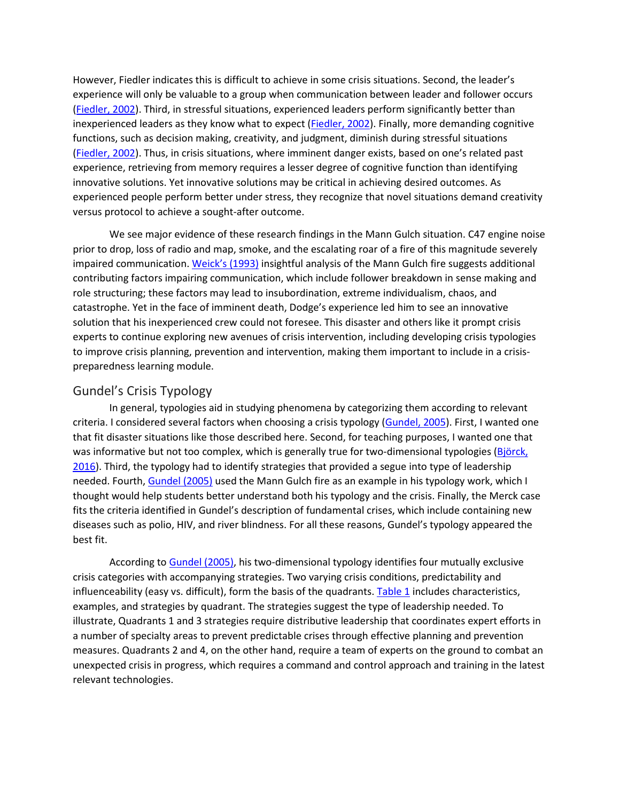However, Fiedler indicates this is difficult to achieve in some crisis situations. Second, the leader's experience will only be valuable to a group when communication between leader and follower occurs [\(Fiedler, 2002\)](https://journals.sagepub.com/doi/10.1177/1052562918796052). Third, in stressful situations, experienced leaders perform significantly better than inexperienced leaders as they know what to expect [\(Fiedler, 2002\)](https://journals.sagepub.com/doi/10.1177/1052562918796052). Finally, more demanding cognitive functions, such as decision making, creativity, and judgment, diminish during stressful situations [\(Fiedler, 2002\)](https://journals.sagepub.com/doi/10.1177/1052562918796052). Thus, in crisis situations, where imminent danger exists, based on one's related past experience, retrieving from memory requires a lesser degree of cognitive function than identifying innovative solutions. Yet innovative solutions may be critical in achieving desired outcomes. As experienced people perform better under stress, they recognize that novel situations demand creativity versus protocol to achieve a sought-after outcome.

We see major evidence of these research findings in the Mann Gulch situation. C47 engine noise prior to drop, loss of radio and map, smoke, and the escalating roar of a fire of this magnitude severely impaired communication. [Weick's \(1993\)](https://journals.sagepub.com/doi/10.1177/1052562918796052) insightful analysis of the Mann Gulch fire suggests additional contributing factors impairing communication, which include follower breakdown in sense making and role structuring; these factors may lead to insubordination, extreme individualism, chaos, and catastrophe. Yet in the face of imminent death, Dodge's experience led him to see an innovative solution that his inexperienced crew could not foresee. This disaster and others like it prompt crisis experts to continue exploring new avenues of crisis intervention, including developing crisis typologies to improve crisis planning, prevention and intervention, making them important to include in a crisispreparedness learning module.

#### Gundel's Crisis Typology

In general, typologies aid in studying phenomena by categorizing them according to relevant criteria. I considered several factors when choosing a crisis typology [\(Gundel, 2005\)](https://journals.sagepub.com/doi/10.1177/1052562918796052). First, I wanted one that fit disaster situations like those described here. Second, for teaching purposes, I wanted one that was informative but not too complex, which is generally true for two-dimensional typologies (Björck, [2016\)](https://journals.sagepub.com/doi/10.1177/1052562918796052). Third, the typology had to identify strategies that provided a segue into type of leadership needed. Fourth, [Gundel \(2005\)](https://journals.sagepub.com/doi/10.1177/1052562918796052) used the Mann Gulch fire as an example in his typology work, which I thought would help students better understand both his typology and the crisis. Finally, the Merck case fits the criteria identified in Gundel's description of fundamental crises, which include containing new diseases such as polio, HIV, and river blindness. For all these reasons, Gundel's typology appeared the best fit.

According to [Gundel \(2005\),](https://journals.sagepub.com/doi/10.1177/1052562918796052) his two-dimensional typology identifies four mutually exclusive crisis categories with accompanying strategies. Two varying crisis conditions, predictability and influenceability (easy vs. difficult), form the basis of the quadrants. [Table 1](https://journals.sagepub.com/doi/10.1177/1052562918796052) includes characteristics, examples, and strategies by quadrant. The strategies suggest the type of leadership needed. To illustrate, Quadrants 1 and 3 strategies require distributive leadership that coordinates expert efforts in a number of specialty areas to prevent predictable crises through effective planning and prevention measures. Quadrants 2 and 4, on the other hand, require a team of experts on the ground to combat an unexpected crisis in progress, which requires a command and control approach and training in the latest relevant technologies.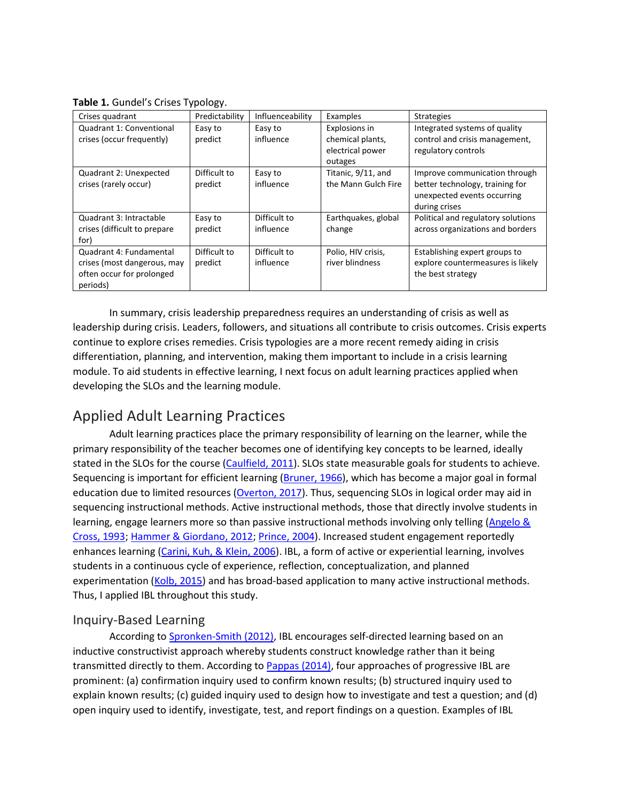**Table 1.** Gundel's Crises Typology.

| Crises quadrant              | Predictability | Influenceability | Examples            | <b>Strategies</b>                  |
|------------------------------|----------------|------------------|---------------------|------------------------------------|
| Quadrant 1: Conventional     | Easy to        | Easy to          | Explosions in       | Integrated systems of quality      |
| crises (occur frequently)    | predict        | influence        | chemical plants,    | control and crisis management,     |
|                              |                |                  | electrical power    | regulatory controls                |
|                              |                |                  | outages             |                                    |
| Quadrant 2: Unexpected       | Difficult to   | Easy to          | Titanic, 9/11, and  | Improve communication through      |
| crises (rarely occur)        | predict        | influence        | the Mann Gulch Fire | better technology, training for    |
|                              |                |                  |                     | unexpected events occurring        |
|                              |                |                  |                     | during crises                      |
| Quadrant 3: Intractable      | Easy to        | Difficult to     | Earthquakes, global | Political and regulatory solutions |
| crises (difficult to prepare | predict        | influence        | change              | across organizations and borders   |
| for)                         |                |                  |                     |                                    |
| Quadrant 4: Fundamental      | Difficult to   | Difficult to     | Polio, HIV crisis,  | Establishing expert groups to      |
| crises (most dangerous, may  | predict        | influence        | river blindness     | explore countermeasures is likely  |
| often occur for prolonged    |                |                  |                     | the best strategy                  |
| periods)                     |                |                  |                     |                                    |

In summary, crisis leadership preparedness requires an understanding of crisis as well as leadership during crisis. Leaders, followers, and situations all contribute to crisis outcomes. Crisis experts continue to explore crises remedies. Crisis typologies are a more recent remedy aiding in crisis differentiation, planning, and intervention, making them important to include in a crisis learning module. To aid students in effective learning, I next focus on adult learning practices applied when developing the SLOs and the learning module.

## Applied Adult Learning Practices

Adult learning practices place the primary responsibility of learning on the learner, while the primary responsibility of the teacher becomes one of identifying key concepts to be learned, ideally stated in the SLOs for the course [\(Caulfield, 2011\)](https://journals.sagepub.com/doi/10.1177/1052562918796052). SLOs state measurable goals for students to achieve. Sequencing is important for efficient learning [\(Bruner, 1966\)](https://journals.sagepub.com/doi/10.1177/1052562918796052), which has become a major goal in formal education due to limited resources [\(Overton, 2017\)](https://journals.sagepub.com/doi/10.1177/1052562918796052). Thus, sequencing SLOs in logical order may aid in sequencing instructional methods. Active instructional methods, those that directly involve students in learning, engage learners more so than passive instructional methods involving only telling (Angelo & [Cross, 1993;](https://journals.sagepub.com/doi/10.1177/1052562918796052) [Hammer & Giordano, 2012;](https://journals.sagepub.com/doi/10.1177/1052562918796052) [Prince, 2004\)](https://journals.sagepub.com/doi/10.1177/1052562918796052). Increased student engagement reportedly enhances learning [\(Carini, Kuh, & Klein, 2006\)](https://journals.sagepub.com/doi/10.1177/1052562918796052). IBL, a form of active or experiential learning, involves students in a continuous cycle of experience, reflection, conceptualization, and planned experimentation [\(Kolb, 2015\)](https://journals.sagepub.com/doi/10.1177/1052562918796052) and has broad-based application to many active instructional methods. Thus, I applied IBL throughout this study.

#### Inquiry-Based Learning

According to [Spronken-Smith \(2012\),](https://journals.sagepub.com/doi/10.1177/1052562918796052) IBL encourages self-directed learning based on an inductive constructivist approach whereby students construct knowledge rather than it being transmitted directly to them. According to [Pappas \(2014\),](https://journals.sagepub.com/doi/10.1177/1052562918796052) four approaches of progressive IBL are prominent: (a) confirmation inquiry used to confirm known results; (b) structured inquiry used to explain known results; (c) guided inquiry used to design how to investigate and test a question; and (d) open inquiry used to identify, investigate, test, and report findings on a question. Examples of IBL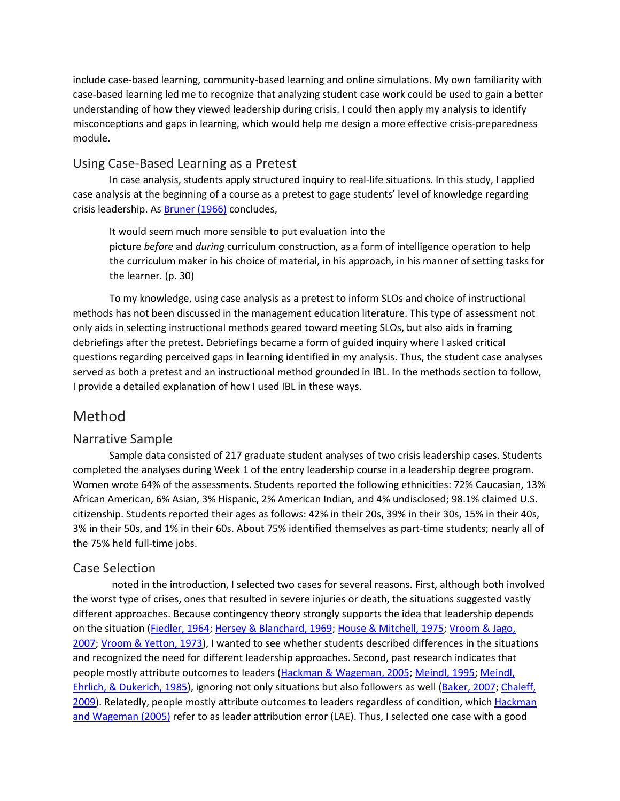include case-based learning, community-based learning and online simulations. My own familiarity with case-based learning led me to recognize that analyzing student case work could be used to gain a better understanding of how they viewed leadership during crisis. I could then apply my analysis to identify misconceptions and gaps in learning, which would help me design a more effective crisis-preparedness module.

#### Using Case-Based Learning as a Pretest

In case analysis, students apply structured inquiry to real-life situations. In this study, I applied case analysis at the beginning of a course as a pretest to gage students' level of knowledge regarding crisis leadership. As [Bruner \(1966\)](https://journals.sagepub.com/doi/10.1177/1052562918796052) concludes,

It would seem much more sensible to put evaluation into the picture *before* and *during* curriculum construction, as a form of intelligence operation to help the curriculum maker in his choice of material, in his approach, in his manner of setting tasks for the learner. (p. 30)

To my knowledge, using case analysis as a pretest to inform SLOs and choice of instructional methods has not been discussed in the management education literature. This type of assessment not only aids in selecting instructional methods geared toward meeting SLOs, but also aids in framing debriefings after the pretest. Debriefings became a form of guided inquiry where I asked critical questions regarding perceived gaps in learning identified in my analysis. Thus, the student case analyses served as both a pretest and an instructional method grounded in IBL. In the methods section to follow, I provide a detailed explanation of how I used IBL in these ways.

## Method

#### Narrative Sample

Sample data consisted of 217 graduate student analyses of two crisis leadership cases. Students completed the analyses during Week 1 of the entry leadership course in a leadership degree program. Women wrote 64% of the assessments. Students reported the following ethnicities: 72% Caucasian, 13% African American, 6% Asian, 3% Hispanic, 2% American Indian, and 4% undisclosed; 98.1% claimed U.S. citizenship. Students reported their ages as follows: 42% in their 20s, 39% in their 30s, 15% in their 40s, 3% in their 50s, and 1% in their 60s. About 75% identified themselves as part-time students; nearly all of the 75% held full-time jobs.

#### Case Selection

noted in the introduction, I selected two cases for several reasons. First, although both involved the worst type of crises, ones that resulted in severe injuries or death, the situations suggested vastly different approaches. Because contingency theory strongly supports the idea that leadership depends on the situation [\(Fiedler, 1964;](https://journals.sagepub.com/doi/10.1177/1052562918796052) [Hersey & Blanchard, 1969;](https://journals.sagepub.com/doi/10.1177/1052562918796052) [House & Mitchell, 1975;](https://journals.sagepub.com/doi/10.1177/1052562918796052) Vroom & Jago, [2007;](https://journals.sagepub.com/doi/10.1177/1052562918796052) [Vroom & Yetton, 1973\)](https://journals.sagepub.com/doi/10.1177/1052562918796052), I wanted to see whether students described differences in the situations and recognized the need for different leadership approaches. Second, past research indicates that people mostly attribute outcomes to leaders [\(Hackman & Wageman, 2005;](https://journals.sagepub.com/doi/10.1177/1052562918796052) [Meindl, 1995;](https://journals.sagepub.com/doi/10.1177/1052562918796052) [Meindl,](https://journals.sagepub.com/doi/10.1177/1052562918796052)  [Ehrlich, & Dukerich, 1985\)](https://journals.sagepub.com/doi/10.1177/1052562918796052), ignoring not only situations but also followers as well [\(Baker, 2007;](https://journals.sagepub.com/doi/10.1177/1052562918796052) [Chaleff,](https://journals.sagepub.com/doi/10.1177/1052562918796052)  [2009\)](https://journals.sagepub.com/doi/10.1177/1052562918796052). Relatedly, people mostly attribute outcomes to leaders regardless of condition, which [Hackman](https://journals.sagepub.com/doi/10.1177/1052562918796052)  [and Wageman \(2005\)](https://journals.sagepub.com/doi/10.1177/1052562918796052) refer to as leader attribution error (LAE). Thus, I selected one case with a good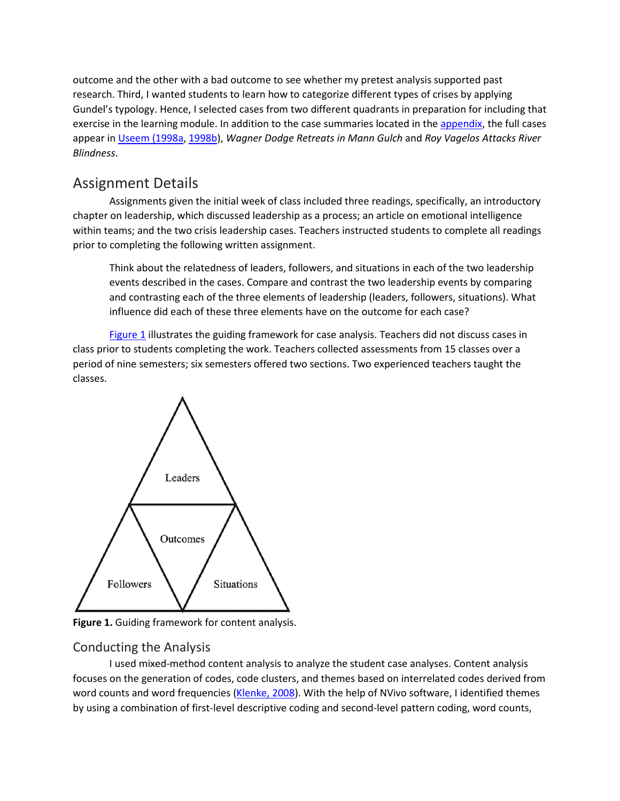outcome and the other with a bad outcome to see whether my pretest analysis supported past research. Third, I wanted students to learn how to categorize different types of crises by applying Gundel's typology. Hence, I selected cases from two different quadrants in preparation for including that exercise in the learning module. In addition to the case summaries located in the [appendix,](javascript:popRef() the full cases appear in [Useem \(1998a,](https://journals.sagepub.com/doi/10.1177/1052562918796052) [1998b\)](https://journals.sagepub.com/doi/10.1177/1052562918796052), *Wagner Dodge Retreats in Mann Gulch* and *Roy Vagelos Attacks River Blindness*.

## Assignment Details

Assignments given the initial week of class included three readings, specifically, an introductory chapter on leadership, which discussed leadership as a process; an article on emotional intelligence within teams; and the two crisis leadership cases. Teachers instructed students to complete all readings prior to completing the following written assignment.

Think about the relatedness of leaders, followers, and situations in each of the two leadership events described in the cases. Compare and contrast the two leadership events by comparing and contrasting each of the three elements of leadership (leaders, followers, situations). What influence did each of these three elements have on the outcome for each case?

[Figure 1](https://journals.sagepub.com/doi/10.1177/1052562918796052) illustrates the guiding framework for case analysis. Teachers did not discuss cases in class prior to students completing the work. Teachers collected assessments from 15 classes over a period of nine semesters; six semesters offered two sections. Two experienced teachers taught the classes.



**Figure 1.** Guiding framework for content analysis.

#### Conducting the Analysis

I used mixed-method content analysis to analyze the student case analyses. Content analysis focuses on the generation of codes, code clusters, and themes based on interrelated codes derived from word counts and word frequencies [\(Klenke, 2008\)](https://journals.sagepub.com/doi/10.1177/1052562918796052). With the help of NVivo software, I identified themes by using a combination of first-level descriptive coding and second-level pattern coding, word counts,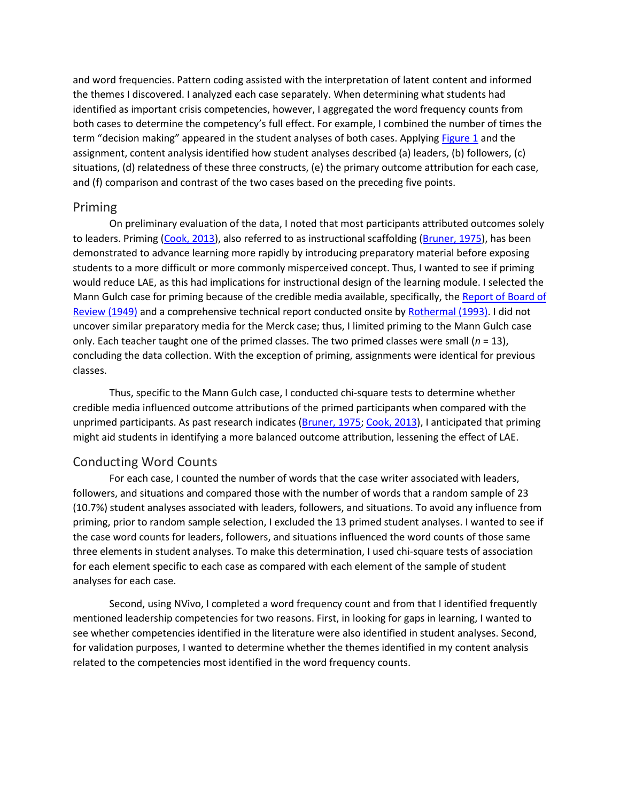and word frequencies. Pattern coding assisted with the interpretation of latent content and informed the themes I discovered. I analyzed each case separately. When determining what students had identified as important crisis competencies, however, I aggregated the word frequency counts from both cases to determine the competency's full effect. For example, I combined the number of times the term "decision making" appeared in the student analyses of both cases. Applying [Figure 1](https://journals.sagepub.com/doi/10.1177/1052562918796052) and the assignment, content analysis identified how student analyses described (a) leaders, (b) followers, (c) situations, (d) relatedness of these three constructs, (e) the primary outcome attribution for each case, and (f) comparison and contrast of the two cases based on the preceding five points.

#### Priming

On preliminary evaluation of the data, I noted that most participants attributed outcomes solely to leaders. Priming [\(Cook, 2013\)](https://journals.sagepub.com/doi/10.1177/1052562918796052), also referred to as instructional scaffolding [\(Bruner, 1975\)](https://journals.sagepub.com/doi/10.1177/1052562918796052), has been demonstrated to advance learning more rapidly by introducing preparatory material before exposing students to a more difficult or more commonly misperceived concept. Thus, I wanted to see if priming would reduce LAE, as this had implications for instructional design of the learning module. I selected the Mann Gulch case for priming because of the credible media available, specifically, the [Report of Board of](https://journals.sagepub.com/doi/10.1177/1052562918796052)  [Review \(1949\)](https://journals.sagepub.com/doi/10.1177/1052562918796052) and a comprehensive technical report conducted onsite by [Rothermal \(1993\).](https://journals.sagepub.com/doi/10.1177/1052562918796052) I did not uncover similar preparatory media for the Merck case; thus, I limited priming to the Mann Gulch case only. Each teacher taught one of the primed classes. The two primed classes were small (*n* = 13), concluding the data collection. With the exception of priming, assignments were identical for previous classes.

Thus, specific to the Mann Gulch case, I conducted chi-square tests to determine whether credible media influenced outcome attributions of the primed participants when compared with the unprimed participants. As past research indicates [\(Bruner, 1975;](https://journals.sagepub.com/doi/10.1177/1052562918796052) [Cook, 2013\)](https://journals.sagepub.com/doi/10.1177/1052562918796052), I anticipated that priming might aid students in identifying a more balanced outcome attribution, lessening the effect of LAE.

#### Conducting Word Counts

For each case, I counted the number of words that the case writer associated with leaders, followers, and situations and compared those with the number of words that a random sample of 23 (10.7%) student analyses associated with leaders, followers, and situations. To avoid any influence from priming, prior to random sample selection, I excluded the 13 primed student analyses. I wanted to see if the case word counts for leaders, followers, and situations influenced the word counts of those same three elements in student analyses. To make this determination, I used chi-square tests of association for each element specific to each case as compared with each element of the sample of student analyses for each case.

Second, using NVivo, I completed a word frequency count and from that I identified frequently mentioned leadership competencies for two reasons. First, in looking for gaps in learning, I wanted to see whether competencies identified in the literature were also identified in student analyses. Second, for validation purposes, I wanted to determine whether the themes identified in my content analysis related to the competencies most identified in the word frequency counts.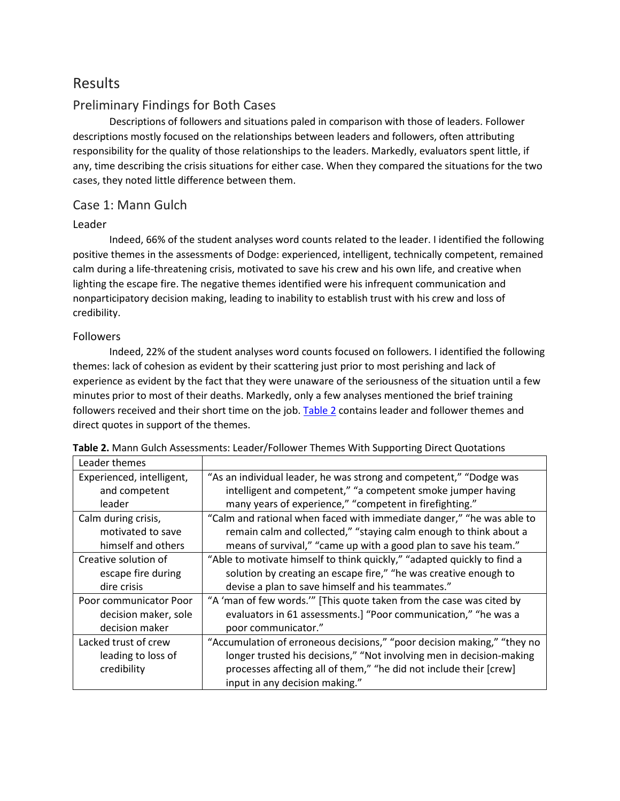## Results

#### Preliminary Findings for Both Cases

Descriptions of followers and situations paled in comparison with those of leaders. Follower descriptions mostly focused on the relationships between leaders and followers, often attributing responsibility for the quality of those relationships to the leaders. Markedly, evaluators spent little, if any, time describing the crisis situations for either case. When they compared the situations for the two cases, they noted little difference between them.

#### Case 1: Mann Gulch

#### Leader

Indeed, 66% of the student analyses word counts related to the leader. I identified the following positive themes in the assessments of Dodge: experienced, intelligent, technically competent, remained calm during a life-threatening crisis, motivated to save his crew and his own life, and creative when lighting the escape fire. The negative themes identified were his infrequent communication and nonparticipatory decision making, leading to inability to establish trust with his crew and loss of credibility.

#### Followers

Indeed, 22% of the student analyses word counts focused on followers. I identified the following themes: lack of cohesion as evident by their scattering just prior to most perishing and lack of experience as evident by the fact that they were unaware of the seriousness of the situation until a few minutes prior to most of their deaths. Markedly, only a few analyses mentioned the brief training followers received and their short time on the job. [Table 2](https://journals.sagepub.com/doi/10.1177/1052562918796052) contains leader and follower themes and direct quotes in support of the themes.

| Leader themes             |                                                                         |
|---------------------------|-------------------------------------------------------------------------|
| Experienced, intelligent, | "As an individual leader, he was strong and competent," "Dodge was      |
| and competent             | intelligent and competent," "a competent smoke jumper having            |
| leader                    | many years of experience," "competent in firefighting."                 |
| Calm during crisis,       | "Calm and rational when faced with immediate danger," "he was able to   |
| motivated to save         | remain calm and collected," "staying calm enough to think about a       |
| himself and others        | means of survival," "came up with a good plan to save his team."        |
| Creative solution of      | "Able to motivate himself to think quickly," "adapted quickly to find a |
| escape fire during        | solution by creating an escape fire," "he was creative enough to        |
| dire crisis               | devise a plan to save himself and his teammates."                       |
| Poor communicator Poor    | "A 'man of few words."" [This quote taken from the case was cited by    |
| decision maker, sole      | evaluators in 61 assessments.] "Poor communication," "he was a          |
| decision maker            | poor communicator."                                                     |
| Lacked trust of crew      | "Accumulation of erroneous decisions," "poor decision making," "they no |
| leading to loss of        | longer trusted his decisions," "Not involving men in decision-making    |
| credibility               | processes affecting all of them," "he did not include their [crew]      |
|                           | input in any decision making."                                          |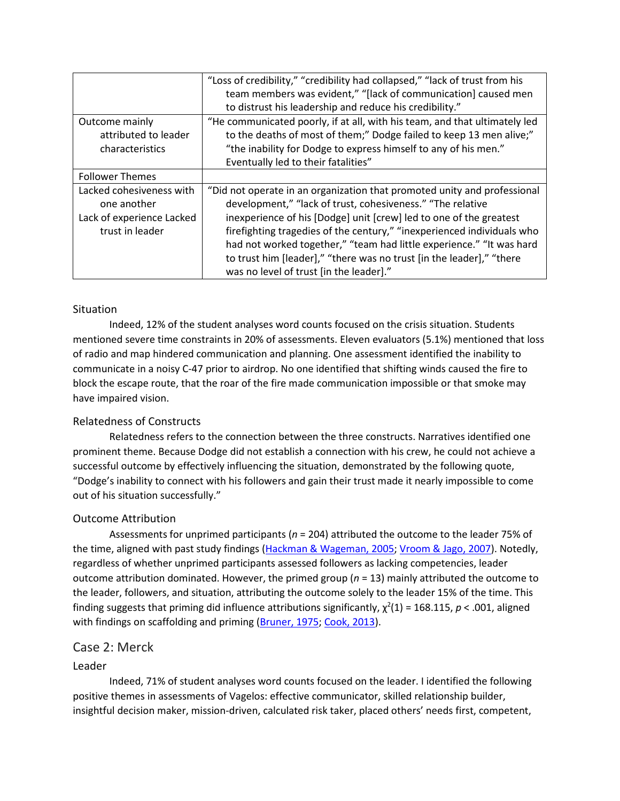|                           | "Loss of credibility," "credibility had collapsed," "lack of trust from his |
|---------------------------|-----------------------------------------------------------------------------|
|                           | team members was evident," "[lack of communication] caused men              |
|                           | to distrust his leadership and reduce his credibility."                     |
| Outcome mainly            | "He communicated poorly, if at all, with his team, and that ultimately led  |
| attributed to leader      | to the deaths of most of them;" Dodge failed to keep 13 men alive;"         |
| characteristics           | "the inability for Dodge to express himself to any of his men."             |
|                           | Eventually led to their fatalities"                                         |
| <b>Follower Themes</b>    |                                                                             |
| Lacked cohesiveness with  | "Did not operate in an organization that promoted unity and professional    |
| one another               | development," "lack of trust, cohesiveness." "The relative                  |
| Lack of experience Lacked | inexperience of his [Dodge] unit [crew] led to one of the greatest          |
| trust in leader           | firefighting tragedies of the century," "inexperienced individuals who      |
|                           | had not worked together," "team had little experience." "It was hard        |
|                           | to trust him [leader]," "there was no trust [in the leader]," "there        |
|                           | was no level of trust [in the leader]."                                     |

#### **Situation**

Indeed, 12% of the student analyses word counts focused on the crisis situation. Students mentioned severe time constraints in 20% of assessments. Eleven evaluators (5.1%) mentioned that loss of radio and map hindered communication and planning. One assessment identified the inability to communicate in a noisy C-47 prior to airdrop. No one identified that shifting winds caused the fire to block the escape route, that the roar of the fire made communication impossible or that smoke may have impaired vision.

#### Relatedness of Constructs

Relatedness refers to the connection between the three constructs. Narratives identified one prominent theme. Because Dodge did not establish a connection with his crew, he could not achieve a successful outcome by effectively influencing the situation, demonstrated by the following quote, "Dodge's inability to connect with his followers and gain their trust made it nearly impossible to come out of his situation successfully."

#### Outcome Attribution

Assessments for unprimed participants (*n* = 204) attributed the outcome to the leader 75% of the time, aligned with past study findings [\(Hackman & Wageman, 2005;](https://journals.sagepub.com/doi/10.1177/1052562918796052) [Vroom & Jago, 2007\)](https://journals.sagepub.com/doi/10.1177/1052562918796052). Notedly, regardless of whether unprimed participants assessed followers as lacking competencies, leader outcome attribution dominated. However, the primed group (*n* = 13) mainly attributed the outcome to the leader, followers, and situation, attributing the outcome solely to the leader 15% of the time. This finding suggests that priming did influence attributions significantly,  $\chi^2(1)$  = 168.115, p < .001, aligned with findings on scaffolding and priming [\(Bruner, 1975;](https://journals.sagepub.com/doi/10.1177/1052562918796052) [Cook, 2013\)](https://journals.sagepub.com/doi/10.1177/1052562918796052).

#### Case 2: Merck

#### Leader

Indeed, 71% of student analyses word counts focused on the leader. I identified the following positive themes in assessments of Vagelos: effective communicator, skilled relationship builder, insightful decision maker, mission-driven, calculated risk taker, placed others' needs first, competent,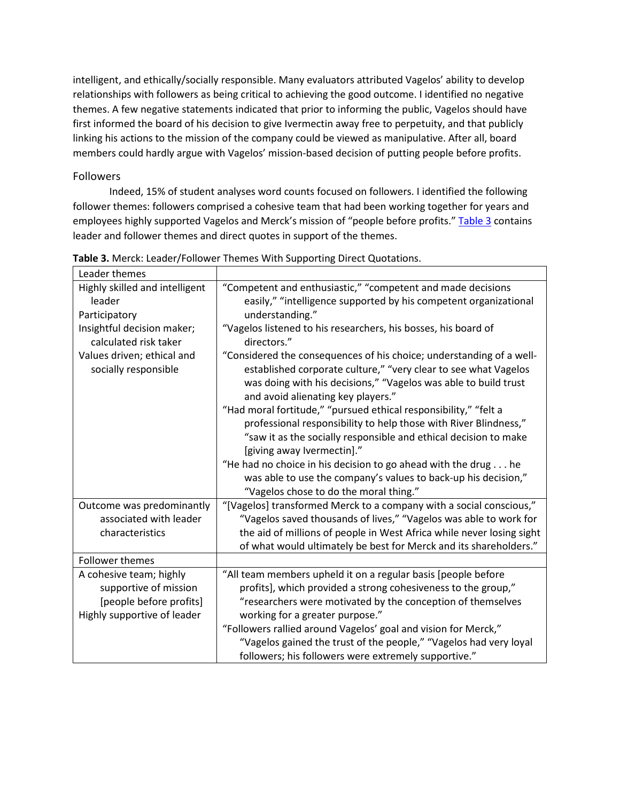intelligent, and ethically/socially responsible. Many evaluators attributed Vagelos' ability to develop relationships with followers as being critical to achieving the good outcome. I identified no negative themes. A few negative statements indicated that prior to informing the public, Vagelos should have first informed the board of his decision to give Ivermectin away free to perpetuity, and that publicly linking his actions to the mission of the company could be viewed as manipulative. After all, board members could hardly argue with Vagelos' mission-based decision of putting people before profits.

#### Followers

Indeed, 15% of student analyses word counts focused on followers. I identified the following follower themes: followers comprised a cohesive team that had been working together for years and employees highly supported Vagelos and Merck's mission of "people before profits." [Table 3](https://journals.sagepub.com/doi/10.1177/1052562918796052) contains leader and follower themes and direct quotes in support of the themes.

| Leader themes                  |                                                                       |
|--------------------------------|-----------------------------------------------------------------------|
| Highly skilled and intelligent | "Competent and enthusiastic," "competent and made decisions           |
| leader                         | easily," "intelligence supported by his competent organizational      |
| Participatory                  | understanding."                                                       |
| Insightful decision maker;     | "Vagelos listened to his researchers, his bosses, his board of        |
| calculated risk taker          | directors."                                                           |
| Values driven; ethical and     | "Considered the consequences of his choice; understanding of a well-  |
| socially responsible           | established corporate culture," "very clear to see what Vagelos       |
|                                | was doing with his decisions," "Vagelos was able to build trust       |
|                                | and avoid alienating key players."                                    |
|                                | "Had moral fortitude," "pursued ethical responsibility," "felt a      |
|                                | professional responsibility to help those with River Blindness,"      |
|                                | "saw it as the socially responsible and ethical decision to make      |
|                                | [giving away lvermectin]."                                            |
|                                | "He had no choice in his decision to go ahead with the drug he        |
|                                | was able to use the company's values to back-up his decision,"        |
|                                | "Vagelos chose to do the moral thing."                                |
| Outcome was predominantly      | "[Vagelos] transformed Merck to a company with a social conscious,"   |
| associated with leader         | "Vagelos saved thousands of lives," "Vagelos was able to work for     |
| characteristics                | the aid of millions of people in West Africa while never losing sight |
|                                | of what would ultimately be best for Merck and its shareholders."     |
| <b>Follower themes</b>         |                                                                       |
| A cohesive team; highly        | "All team members upheld it on a regular basis [people before         |
| supportive of mission          | profits], which provided a strong cohesiveness to the group,"         |
| [people before profits]        | "researchers were motivated by the conception of themselves           |
| Highly supportive of leader    | working for a greater purpose."                                       |
|                                | "Followers rallied around Vagelos' goal and vision for Merck,"        |
|                                | "Vagelos gained the trust of the people," "Vagelos had very loyal     |
|                                | followers; his followers were extremely supportive."                  |

**Table 3.** Merck: Leader/Follower Themes With Supporting Direct Quotations.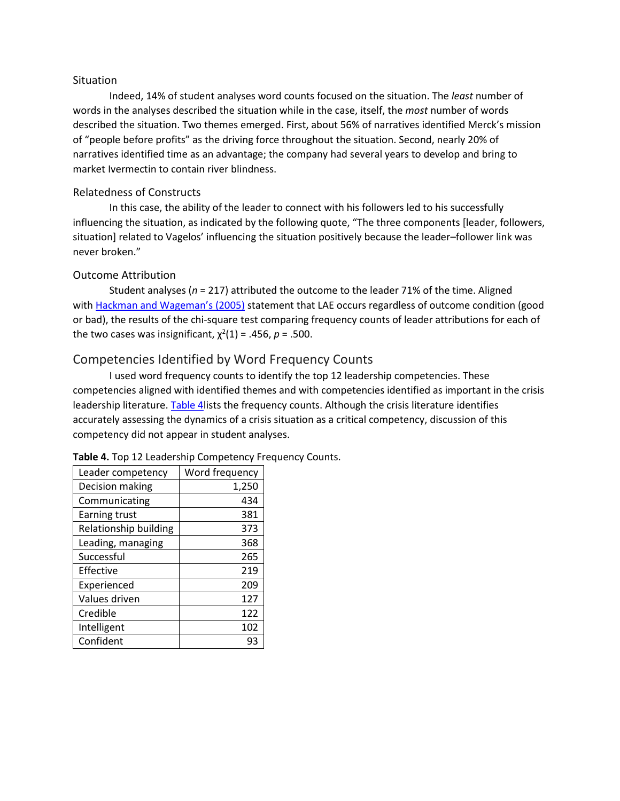#### **Situation**

Indeed, 14% of student analyses word counts focused on the situation. The *least* number of words in the analyses described the situation while in the case, itself, the *most* number of words described the situation. Two themes emerged. First, about 56% of narratives identified Merck's mission of "people before profits" as the driving force throughout the situation. Second, nearly 20% of narratives identified time as an advantage; the company had several years to develop and bring to market Ivermectin to contain river blindness.

#### Relatedness of Constructs

In this case, the ability of the leader to connect with his followers led to his successfully influencing the situation, as indicated by the following quote, "The three components [leader, followers, situation] related to Vagelos' influencing the situation positively because the leader–follower link was never broken."

#### Outcome Attribution

Student analyses (*n* = 217) attributed the outcome to the leader 71% of the time. Aligned with [Hackman and Wageman's \(2005\)](https://journals.sagepub.com/doi/10.1177/1052562918796052) statement that LAE occurs regardless of outcome condition (good or bad), the results of the chi-square test comparing frequency counts of leader attributions for each of the two cases was insignificant,  $\chi^2(1)$  = .456,  $p$  = .500.

#### Competencies Identified by Word Frequency Counts

I used word frequency counts to identify the top 12 leadership competencies. These competencies aligned with identified themes and with competencies identified as important in the crisis leadership literature. [Table 4l](https://journals.sagepub.com/doi/10.1177/1052562918796052)ists the frequency counts. Although the crisis literature identifies accurately assessing the dynamics of a crisis situation as a critical competency, discussion of this competency did not appear in student analyses.

| Leader competency     | Word frequency |
|-----------------------|----------------|
| Decision making       | 1,250          |
| Communicating         | 434            |
| Earning trust         | 381            |
| Relationship building | 373            |
| Leading, managing     | 368            |
| Successful            | 265            |
| Effective             | 219            |
| Experienced           | 209            |
| Values driven         | 127            |
| Credible              | 122            |
| Intelligent           | 102            |
| Confident             | 93             |

**Table 4.** Top 12 Leadership Competency Frequency Counts.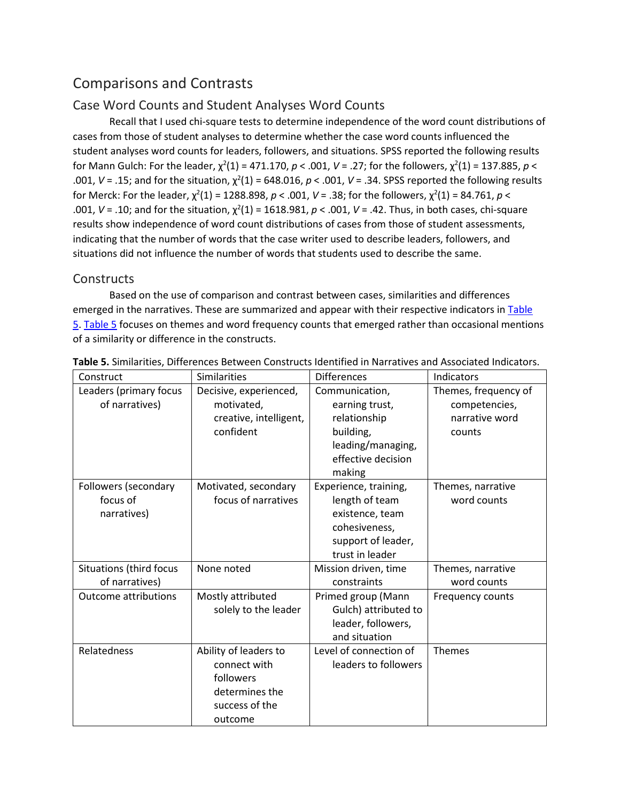## Comparisons and Contrasts

#### Case Word Counts and Student Analyses Word Counts

Recall that I used chi-square tests to determine independence of the word count distributions of cases from those of student analyses to determine whether the case word counts influenced the student analyses word counts for leaders, followers, and situations. SPSS reported the following results for Mann Gulch: For the leader,  $\chi^2(1) = 471.170$ ,  $p < .001$ ,  $V = .27$ ; for the followers,  $\chi^2(1) = 137.885$ ,  $p <$ .001,  $V = .15$ ; and for the situation,  $\chi^2(1) = 648.016$ ,  $p < .001$ ,  $V = .34$ . SPSS reported the following results for Merck: For the leader,  $\chi^2(1)$  = 1288.898,  $p < .001$ ,  $V = .38$ ; for the followers,  $\chi^2(1)$  = 84.761,  $p <$ .001,  $V = .10$ ; and for the situation,  $\chi^2(1) = 1618.981$ ,  $p < .001$ ,  $V = .42$ . Thus, in both cases, chi-square results show independence of word count distributions of cases from those of student assessments, indicating that the number of words that the case writer used to describe leaders, followers, and situations did not influence the number of words that students used to describe the same.

#### **Constructs**

Based on the use of comparison and contrast between cases, similarities and differences emerged in the narratives. These are summarized and appear with their respective indicators in Table [5.](https://journals.sagepub.com/doi/10.1177/1052562918796052) [Table 5](https://journals.sagepub.com/doi/10.1177/1052562918796052) focuses on themes and word frequency counts that emerged rather than occasional mentions of a similarity or difference in the constructs.

| Construct                   | <b>Similarities</b>    | <b>Differences</b>     | Indicators           |
|-----------------------------|------------------------|------------------------|----------------------|
| Leaders (primary focus      | Decisive, experienced, | Communication,         | Themes, frequency of |
| of narratives)              | motivated,             | earning trust,         | competencies,        |
|                             | creative, intelligent, | relationship           | narrative word       |
|                             | confident              | building,              | counts               |
|                             |                        | leading/managing,      |                      |
|                             |                        | effective decision     |                      |
|                             |                        | making                 |                      |
| Followers (secondary        | Motivated, secondary   | Experience, training,  | Themes, narrative    |
| focus of                    | focus of narratives    | length of team         | word counts          |
| narratives)                 |                        | existence, team        |                      |
|                             |                        | cohesiveness,          |                      |
|                             |                        | support of leader,     |                      |
|                             |                        | trust in leader        |                      |
| Situations (third focus     | None noted             | Mission driven, time   | Themes, narrative    |
| of narratives)              |                        | constraints            | word counts          |
| <b>Outcome attributions</b> | Mostly attributed      | Primed group (Mann     | Frequency counts     |
|                             | solely to the leader   | Gulch) attributed to   |                      |
|                             |                        | leader, followers,     |                      |
|                             |                        | and situation          |                      |
| Relatedness                 | Ability of leaders to  | Level of connection of | <b>Themes</b>        |
|                             | connect with           | leaders to followers   |                      |
|                             | followers              |                        |                      |
|                             | determines the         |                        |                      |
|                             | success of the         |                        |                      |
|                             | outcome                |                        |                      |

**Table 5.** Similarities, Differences Between Constructs Identified in Narratives and Associated Indicators.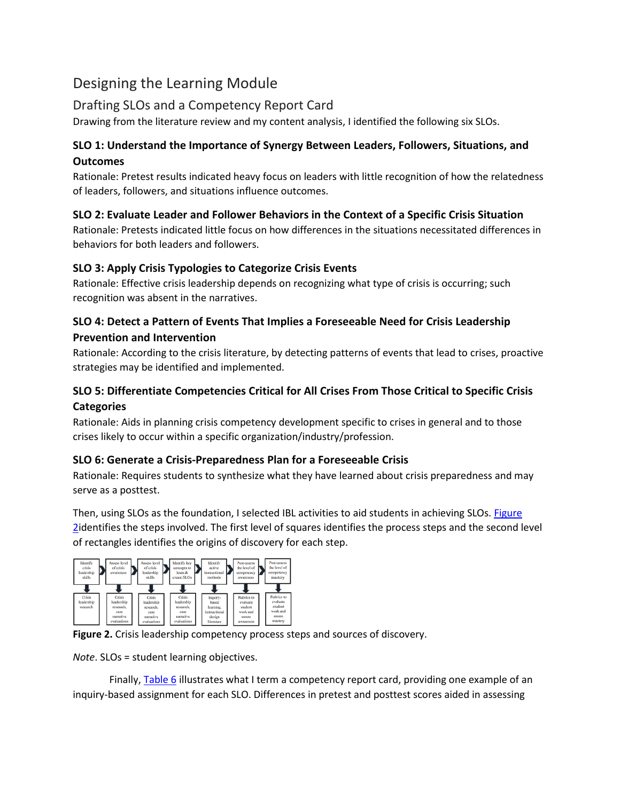## Designing the Learning Module

#### Drafting SLOs and a Competency Report Card

Drawing from the literature review and my content analysis, I identified the following six SLOs.

#### **SLO 1: Understand the Importance of Synergy Between Leaders, Followers, Situations, and Outcomes**

Rationale: Pretest results indicated heavy focus on leaders with little recognition of how the relatedness of leaders, followers, and situations influence outcomes.

#### **SLO 2: Evaluate Leader and Follower Behaviors in the Context of a Specific Crisis Situation**

Rationale: Pretests indicated little focus on how differences in the situations necessitated differences in behaviors for both leaders and followers.

#### **SLO 3: Apply Crisis Typologies to Categorize Crisis Events**

Rationale: Effective crisis leadership depends on recognizing what type of crisis is occurring; such recognition was absent in the narratives.

#### **SLO 4: Detect a Pattern of Events That Implies a Foreseeable Need for Crisis Leadership Prevention and Intervention**

Rationale: According to the crisis literature, by detecting patterns of events that lead to crises, proactive strategies may be identified and implemented.

#### **SLO 5: Differentiate Competencies Critical for All Crises From Those Critical to Specific Crisis Categories**

Rationale: Aids in planning crisis competency development specific to crises in general and to those crises likely to occur within a specific organization/industry/profession.

#### **SLO 6: Generate a Crisis-Preparedness Plan for a Foreseeable Crisis**

Rationale: Requires students to synthesize what they have learned about crisis preparedness and may serve as a posttest.

Then, using SLOs as the foundation, I selected IBL activities to aid students in achieving SLOs. [Figure](https://journals.sagepub.com/doi/10.1177/1052562918796052)  [2i](https://journals.sagepub.com/doi/10.1177/1052562918796052)dentifies the steps involved. The first level of squares identifies the process steps and the second level of rectangles identifies the origins of discovery for each step.





*Note*. SLOs = student learning objectives.

Finally, [Table 6](https://journals.sagepub.com/doi/10.1177/1052562918796052) illustrates what I term a competency report card, providing one example of an inquiry-based assignment for each SLO. Differences in pretest and posttest scores aided in assessing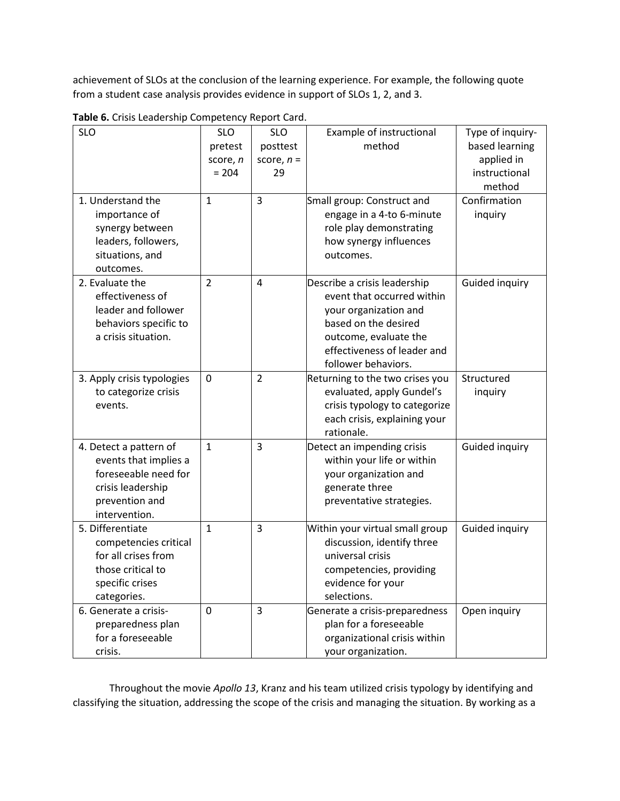achievement of SLOs at the conclusion of the learning experience. For example, the following quote from a student case analysis provides evidence in support of SLOs 1, 2, and 3.

| <b>SLO</b>                 | <b>SLO</b>     | <b>SLO</b>     | Example of instructional        | Type of inquiry- |
|----------------------------|----------------|----------------|---------------------------------|------------------|
|                            | pretest        | posttest       | method                          | based learning   |
|                            | score, n       | score, $n =$   |                                 | applied in       |
|                            | $= 204$        | 29             |                                 | instructional    |
|                            |                |                |                                 | method           |
| 1. Understand the          | $\mathbf{1}$   | $\overline{3}$ | Small group: Construct and      | Confirmation     |
| importance of              |                |                | engage in a 4-to 6-minute       | inquiry          |
| synergy between            |                |                | role play demonstrating         |                  |
| leaders, followers,        |                |                | how synergy influences          |                  |
| situations, and            |                |                | outcomes.                       |                  |
| outcomes.                  |                |                |                                 |                  |
| 2. Evaluate the            | $\overline{2}$ | $\overline{4}$ | Describe a crisis leadership    | Guided inquiry   |
| effectiveness of           |                |                | event that occurred within      |                  |
| leader and follower        |                |                | your organization and           |                  |
| behaviors specific to      |                |                | based on the desired            |                  |
| a crisis situation.        |                |                | outcome, evaluate the           |                  |
|                            |                |                | effectiveness of leader and     |                  |
|                            |                |                | follower behaviors.             |                  |
| 3. Apply crisis typologies | $\mathbf 0$    | $\overline{2}$ | Returning to the two crises you | Structured       |
| to categorize crisis       |                |                | evaluated, apply Gundel's       | inquiry          |
| events.                    |                |                | crisis typology to categorize   |                  |
|                            |                |                | each crisis, explaining your    |                  |
|                            |                |                | rationale.                      |                  |
| 4. Detect a pattern of     | $\mathbf{1}$   | $\overline{3}$ | Detect an impending crisis      | Guided inquiry   |
| events that implies a      |                |                | within your life or within      |                  |
| foreseeable need for       |                |                | your organization and           |                  |
| crisis leadership          |                |                | generate three                  |                  |
| prevention and             |                |                | preventative strategies.        |                  |
| intervention.              |                |                |                                 |                  |
| 5. Differentiate           | $\mathbf{1}$   | 3              | Within your virtual small group | Guided inquiry   |
| competencies critical      |                |                | discussion, identify three      |                  |
| for all crises from        |                |                | universal crisis                |                  |
| those critical to          |                |                | competencies, providing         |                  |
| specific crises            |                |                | evidence for your               |                  |
| categories.                |                |                | selections.                     |                  |
| 6. Generate a crisis-      | 0              | 3              | Generate a crisis-preparedness  | Open inquiry     |
| preparedness plan          |                |                | plan for a foreseeable          |                  |
| for a foreseeable          |                |                | organizational crisis within    |                  |
| crisis.                    |                |                | your organization.              |                  |

**Table 6.** Crisis Leadership Competency Report Card.

Throughout the movie *Apollo 13*, Kranz and his team utilized crisis typology by identifying and classifying the situation, addressing the scope of the crisis and managing the situation. By working as a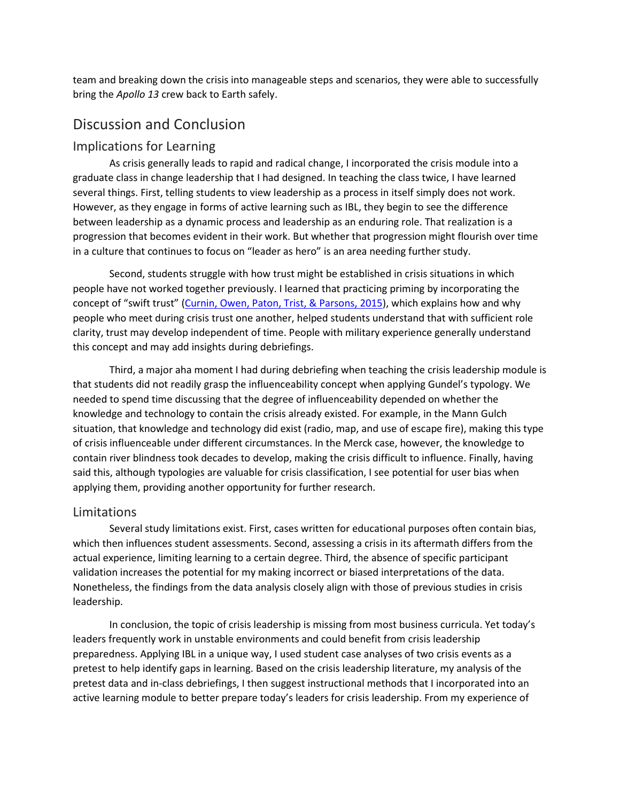team and breaking down the crisis into manageable steps and scenarios, they were able to successfully bring the *Apollo 13* crew back to Earth safely.

## Discussion and Conclusion

#### Implications for Learning

As crisis generally leads to rapid and radical change, I incorporated the crisis module into a graduate class in change leadership that I had designed. In teaching the class twice, I have learned several things. First, telling students to view leadership as a process in itself simply does not work. However, as they engage in forms of active learning such as IBL, they begin to see the difference between leadership as a dynamic process and leadership as an enduring role. That realization is a progression that becomes evident in their work. But whether that progression might flourish over time in a culture that continues to focus on "leader as hero" is an area needing further study.

Second, students struggle with how trust might be established in crisis situations in which people have not worked together previously. I learned that practicing priming by incorporating the concept of "swift trust" [\(Curnin, Owen, Paton, Trist, & Parsons, 2015\)](https://journals.sagepub.com/doi/10.1177/1052562918796052), which explains how and why people who meet during crisis trust one another, helped students understand that with sufficient role clarity, trust may develop independent of time. People with military experience generally understand this concept and may add insights during debriefings.

Third, a major aha moment I had during debriefing when teaching the crisis leadership module is that students did not readily grasp the influenceability concept when applying Gundel's typology. We needed to spend time discussing that the degree of influenceability depended on whether the knowledge and technology to contain the crisis already existed. For example, in the Mann Gulch situation, that knowledge and technology did exist (radio, map, and use of escape fire), making this type of crisis influenceable under different circumstances. In the Merck case, however, the knowledge to contain river blindness took decades to develop, making the crisis difficult to influence. Finally, having said this, although typologies are valuable for crisis classification, I see potential for user bias when applying them, providing another opportunity for further research.

#### Limitations

Several study limitations exist. First, cases written for educational purposes often contain bias, which then influences student assessments. Second, assessing a crisis in its aftermath differs from the actual experience, limiting learning to a certain degree. Third, the absence of specific participant validation increases the potential for my making incorrect or biased interpretations of the data. Nonetheless, the findings from the data analysis closely align with those of previous studies in crisis leadership.

In conclusion, the topic of crisis leadership is missing from most business curricula. Yet today's leaders frequently work in unstable environments and could benefit from crisis leadership preparedness. Applying IBL in a unique way, I used student case analyses of two crisis events as a pretest to help identify gaps in learning. Based on the crisis leadership literature, my analysis of the pretest data and in-class debriefings, I then suggest instructional methods that I incorporated into an active learning module to better prepare today's leaders for crisis leadership. From my experience of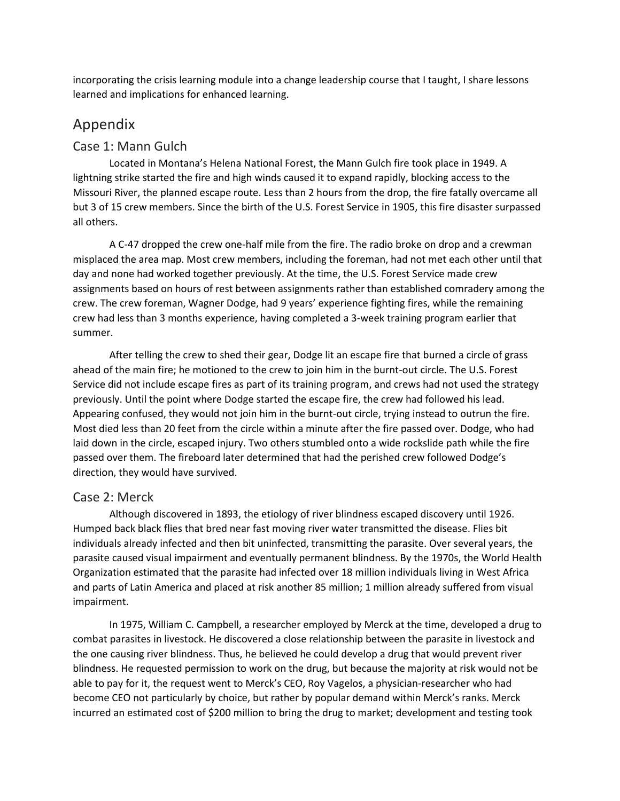incorporating the crisis learning module into a change leadership course that I taught, I share lessons learned and implications for enhanced learning.

## Appendix

#### Case 1: Mann Gulch

Located in Montana's Helena National Forest, the Mann Gulch fire took place in 1949. A lightning strike started the fire and high winds caused it to expand rapidly, blocking access to the Missouri River, the planned escape route. Less than 2 hours from the drop, the fire fatally overcame all but 3 of 15 crew members. Since the birth of the U.S. Forest Service in 1905, this fire disaster surpassed all others.

A C-47 dropped the crew one-half mile from the fire. The radio broke on drop and a crewman misplaced the area map. Most crew members, including the foreman, had not met each other until that day and none had worked together previously. At the time, the U.S. Forest Service made crew assignments based on hours of rest between assignments rather than established comradery among the crew. The crew foreman, Wagner Dodge, had 9 years' experience fighting fires, while the remaining crew had less than 3 months experience, having completed a 3-week training program earlier that summer.

After telling the crew to shed their gear, Dodge lit an escape fire that burned a circle of grass ahead of the main fire; he motioned to the crew to join him in the burnt-out circle. The U.S. Forest Service did not include escape fires as part of its training program, and crews had not used the strategy previously. Until the point where Dodge started the escape fire, the crew had followed his lead. Appearing confused, they would not join him in the burnt-out circle, trying instead to outrun the fire. Most died less than 20 feet from the circle within a minute after the fire passed over. Dodge, who had laid down in the circle, escaped injury. Two others stumbled onto a wide rockslide path while the fire passed over them. The fireboard later determined that had the perished crew followed Dodge's direction, they would have survived.

#### Case 2: Merck

Although discovered in 1893, the etiology of river blindness escaped discovery until 1926. Humped back black flies that bred near fast moving river water transmitted the disease. Flies bit individuals already infected and then bit uninfected, transmitting the parasite. Over several years, the parasite caused visual impairment and eventually permanent blindness. By the 1970s, the World Health Organization estimated that the parasite had infected over 18 million individuals living in West Africa and parts of Latin America and placed at risk another 85 million; 1 million already suffered from visual impairment.

In 1975, William C. Campbell, a researcher employed by Merck at the time, developed a drug to combat parasites in livestock. He discovered a close relationship between the parasite in livestock and the one causing river blindness. Thus, he believed he could develop a drug that would prevent river blindness. He requested permission to work on the drug, but because the majority at risk would not be able to pay for it, the request went to Merck's CEO, Roy Vagelos, a physician-researcher who had become CEO not particularly by choice, but rather by popular demand within Merck's ranks. Merck incurred an estimated cost of \$200 million to bring the drug to market; development and testing took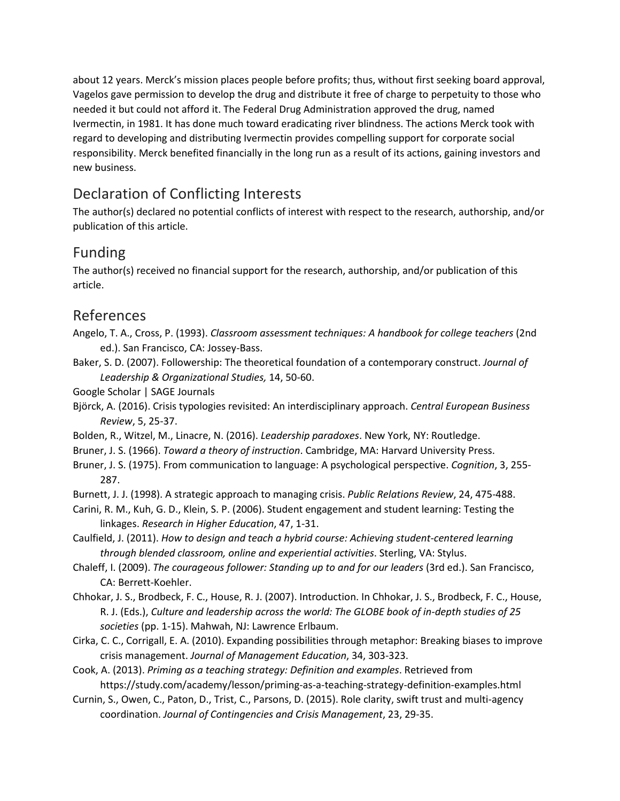about 12 years. Merck's mission places people before profits; thus, without first seeking board approval, Vagelos gave permission to develop the drug and distribute it free of charge to perpetuity to those who needed it but could not afford it. The Federal Drug Administration approved the drug, named Ivermectin, in 1981. It has done much toward eradicating river blindness. The actions Merck took with regard to developing and distributing Ivermectin provides compelling support for corporate social responsibility. Merck benefited financially in the long run as a result of its actions, gaining investors and new business.

## Declaration of Conflicting Interests

The author(s) declared no potential conflicts of interest with respect to the research, authorship, and/or publication of this article.

## Funding

The author(s) received no financial support for the research, authorship, and/or publication of this article.

## References

- Angelo, T. A., Cross, P. (1993). *Classroom assessment techniques: A handbook for college teachers* (2nd ed.). San Francisco, CA: Jossey-Bass.
- Baker, S. D. (2007). Followership: The theoretical foundation of a contemporary construct. *Journal of Leadership & Organizational Studies,* 14, 50-60.

Google Scholar | SAGE Journals

- Björck, A. (2016). Crisis typologies revisited: An interdisciplinary approach. *Central European Business Review*, 5, 25-37.
- Bolden, R., Witzel, M., Linacre, N. (2016). *Leadership paradoxes*. New York, NY: Routledge.
- Bruner, J. S. (1966). *Toward a theory of instruction*. Cambridge, MA: Harvard University Press.
- Bruner, J. S. (1975). From communication to language: A psychological perspective. *Cognition*, 3, 255- 287.
- Burnett, J. J. (1998). A strategic approach to managing crisis. *Public Relations Review*, 24, 475-488.
- Carini, R. M., Kuh, G. D., Klein, S. P. (2006). Student engagement and student learning: Testing the linkages. *Research in Higher Education*, 47, 1-31.

Caulfield, J. (2011). *How to design and teach a hybrid course: Achieving student-centered learning through blended classroom, online and experiential activities*. Sterling, VA: Stylus.

- Chaleff, I. (2009). *The courageous follower: Standing up to and for our leaders* (3rd ed.). San Francisco, CA: Berrett-Koehler.
- Chhokar, J. S., Brodbeck, F. C., House, R. J. (2007). Introduction. In Chhokar, J. S., Brodbeck, F. C., House, R. J. (Eds.), *Culture and leadership across the world: The GLOBE book of in-depth studies of 25 societies* (pp. 1-15). Mahwah, NJ: Lawrence Erlbaum.
- Cirka, C. C., Corrigall, E. A. (2010). Expanding possibilities through metaphor: Breaking biases to improve crisis management. *Journal of Management Education*, 34, 303-323.
- Cook, A. (2013). *Priming as a teaching strategy: Definition and examples*. Retrieved from https://study.com/academy/lesson/priming-as-a-teaching-strategy-definition-examples.html
- Curnin, S., Owen, C., Paton, D., Trist, C., Parsons, D. (2015). Role clarity, swift trust and multi-agency coordination. *Journal of Contingencies and Crisis Management*, 23, 29-35.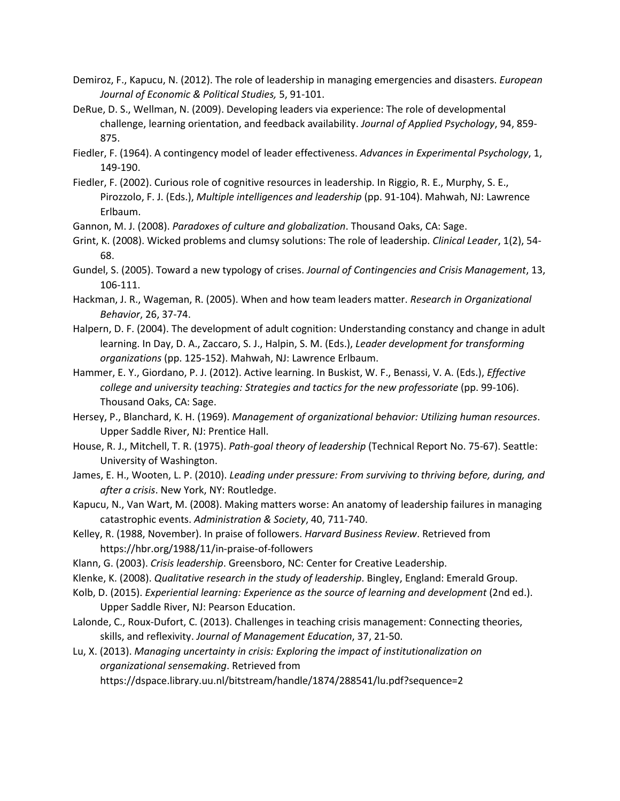- Demiroz, F., Kapucu, N. (2012). The role of leadership in managing emergencies and disasters. *European Journal of Economic & Political Studies,* 5, 91-101.
- DeRue, D. S., Wellman, N. (2009). Developing leaders via experience: The role of developmental challenge, learning orientation, and feedback availability. *Journal of Applied Psychology*, 94, 859- 875.
- Fiedler, F. (1964). A contingency model of leader effectiveness. *Advances in Experimental Psychology*, 1, 149-190.
- Fiedler, F. (2002). Curious role of cognitive resources in leadership. In Riggio, R. E., Murphy, S. E., Pirozzolo, F. J. (Eds.), *Multiple intelligences and leadership* (pp. 91-104). Mahwah, NJ: Lawrence Erlbaum.
- Gannon, M. J. (2008). *Paradoxes of culture and globalization*. Thousand Oaks, CA: Sage.
- Grint, K. (2008). Wicked problems and clumsy solutions: The role of leadership. *Clinical Leader*, 1(2), 54- 68.
- Gundel, S. (2005). Toward a new typology of crises. *Journal of Contingencies and Crisis Management*, 13, 106-111.
- Hackman, J. R., Wageman, R. (2005). When and how team leaders matter. *Research in Organizational Behavior*, 26, 37-74.
- Halpern, D. F. (2004). The development of adult cognition: Understanding constancy and change in adult learning. In Day, D. A., Zaccaro, S. J., Halpin, S. M. (Eds.), *Leader development for transforming organizations* (pp. 125-152). Mahwah, NJ: Lawrence Erlbaum.
- Hammer, E. Y., Giordano, P. J. (2012). Active learning. In Buskist, W. F., Benassi, V. A. (Eds.), *Effective college and university teaching: Strategies and tactics for the new professoriate* (pp. 99-106). Thousand Oaks, CA: Sage.
- Hersey, P., Blanchard, K. H. (1969). *Management of organizational behavior: Utilizing human resources*. Upper Saddle River, NJ: Prentice Hall.
- House, R. J., Mitchell, T. R. (1975). *Path-goal theory of leadership* (Technical Report No. 75-67). Seattle: University of Washington.
- James, E. H., Wooten, L. P. (2010). *Leading under pressure: From surviving to thriving before, during, and after a crisis*. New York, NY: Routledge.
- Kapucu, N., Van Wart, M. (2008). Making matters worse: An anatomy of leadership failures in managing catastrophic events. *Administration & Society*, 40, 711-740.
- Kelley, R. (1988, November). In praise of followers. *Harvard Business Review*. Retrieved from https://hbr.org/1988/11/in-praise-of-followers
- Klann, G. (2003). *Crisis leadership*. Greensboro, NC: Center for Creative Leadership.
- Klenke, K. (2008). *Qualitative research in the study of leadership*. Bingley, England: Emerald Group.
- Kolb, D. (2015). *Experiential learning: Experience as the source of learning and development* (2nd ed.). Upper Saddle River, NJ: Pearson Education.
- Lalonde, C., Roux-Dufort, C. (2013). Challenges in teaching crisis management: Connecting theories, skills, and reflexivity. *Journal of Management Education*, 37, 21-50.
- Lu, X. (2013). *Managing uncertainty in crisis: Exploring the impact of institutionalization on organizational sensemaking*. Retrieved from https://dspace.library.uu.nl/bitstream/handle/1874/288541/lu.pdf?sequence=2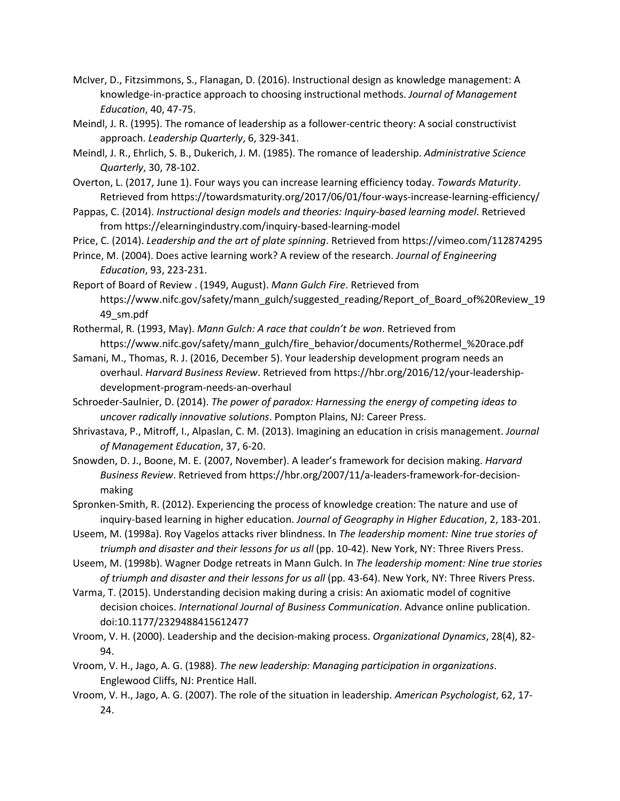- McIver, D., Fitzsimmons, S., Flanagan, D. (2016). Instructional design as knowledge management: A knowledge-in-practice approach to choosing instructional methods. *Journal of Management Education*, 40, 47-75.
- Meindl, J. R. (1995). The romance of leadership as a follower-centric theory: A social constructivist approach. *Leadership Quarterly*, 6, 329-341.
- Meindl, J. R., Ehrlich, S. B., Dukerich, J. M. (1985). The romance of leadership. *Administrative Science Quarterly*, 30, 78-102.
- Overton, L. (2017, June 1). Four ways you can increase learning efficiency today. *Towards Maturity*. Retrieved from https://towardsmaturity.org/2017/06/01/four-ways-increase-learning-efficiency/
- Pappas, C. (2014). *Instructional design models and theories: Inquiry-based learning model*. Retrieved from https://elearningindustry.com/inquiry-based-learning-model
- Price, C. (2014). *Leadership and the art of plate spinning*. Retrieved from https://vimeo.com/112874295
- Prince, M. (2004). Does active learning work? A review of the research. *Journal of Engineering Education*, 93, 223-231.
- Report of Board of Review . (1949, August). *Mann Gulch Fire*. Retrieved from https://www.nifc.gov/safety/mann\_gulch/suggested\_reading/Report\_of\_Board\_of%20Review\_19 49\_sm.pdf
- Rothermal, R. (1993, May). *Mann Gulch: A race that couldn't be won*. Retrieved from https://www.nifc.gov/safety/mann\_gulch/fire\_behavior/documents/Rothermel\_%20race.pdf
- Samani, M., Thomas, R. J. (2016, December 5). Your leadership development program needs an overhaul. *Harvard Business Review*. Retrieved from https://hbr.org/2016/12/your-leadershipdevelopment-program-needs-an-overhaul
- Schroeder-Saulnier, D. (2014). *The power of paradox: Harnessing the energy of competing ideas to uncover radically innovative solutions*. Pompton Plains, NJ: Career Press.
- Shrivastava, P., Mitroff, I., Alpaslan, C. M. (2013). Imagining an education in crisis management. *Journal of Management Education*, 37, 6-20.
- Snowden, D. J., Boone, M. E. (2007, November). A leader's framework for decision making. *Harvard Business Review*. Retrieved from https://hbr.org/2007/11/a-leaders-framework-for-decisionmaking
- Spronken-Smith, R. (2012). Experiencing the process of knowledge creation: The nature and use of inquiry-based learning in higher education. *Journal of Geography in Higher Education*, 2, 183-201.
- Useem, M. (1998a). Roy Vagelos attacks river blindness. In *The leadership moment: Nine true stories of triumph and disaster and their lessons for us all* (pp. 10-42). New York, NY: Three Rivers Press.
- Useem, M. (1998b). Wagner Dodge retreats in Mann Gulch. In *The leadership moment: Nine true stories of triumph and disaster and their lessons for us all* (pp. 43-64). New York, NY: Three Rivers Press.
- Varma, T. (2015). Understanding decision making during a crisis: An axiomatic model of cognitive decision choices. *International Journal of Business Communication*. Advance online publication. doi:10.1177/2329488415612477
- Vroom, V. H. (2000). Leadership and the decision-making process. *Organizational Dynamics*, 28(4), 82- 94.
- Vroom, V. H., Jago, A. G. (1988). *The new leadership: Managing participation in organizations*. Englewood Cliffs, NJ: Prentice Hall.
- Vroom, V. H., Jago, A. G. (2007). The role of the situation in leadership. *American Psychologist*, 62, 17- 24.